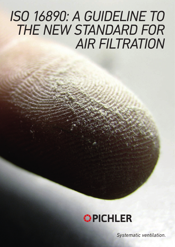# *ISO 16890: A GUIDELINE TO THE NEW STANDARD FOR AIR FILTRATION*



*Systematic ventilation.*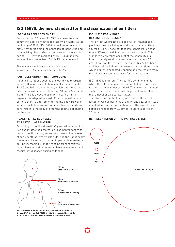## **ISO 16890: the new standard for the classification of air filters**

### ISO 16890 REPLACES EN 779

For more than 20 years, EN 779 has been the most commonly applied method to classify air filters. At the beginning of 2017, ISO 16890 came into force, completely revolutionising the approach of inspecting and categorising filters. After a country-specific transitional period, EN 779 was replaced by ISO 16890 and the known filter classes from G1 bis F9 became invalid.

*This guideline will help you to update your knowledge of the new standard ISO 16890.*

### PARTICLES UNDER THE MICROSCOPE

If public institutions such as the World Health Organisation talk about air pollution, usually the terms PM10, PM2.5 and PM1 are mentioned, which refer to particulate matter with a size of less than 10 µm, 2.5 µm and 1 µm. There is a good reason for this. The human organism is adapted to ward off particles with a size of more than 10 µm from entering the body. However, smaller particles can overcome our barriers and can penetrate into the body at different depths, depending on the size.

## HEALTH EFFECTS CAUSED BY PARTICULATE MATTER

According to the World Health Organisation, air pollution constitutes the greatest environmental hazard to human health, causing more than three million cases of early death per year worldwide. And the list of health issues which can be attributed to particulate matter is getting increasingly longer, ranging from cardiovascular diseases and pulmonary diseases to cancer and respiratory diseases during childhood.



*Particles occur in various sizes, many of them are invisible to the eye. With the new ISO 16890 standard, the capability of a filter to retain particles from the entire spectrum of sizes is tested.*

## ISO 16890 FOR A MORE REALISTIC TEST DESIGN

The air that we breathe is a cocktail of innumerable particle types of all shapes and sizes from countless sources. EN 779 does not take into consideration that these different particle sizes are part of the air. This standard solely takes account of the capability of a filter to merely retain one particle size, namely 0.4 µm. Therefore, the testing process of EN 779 has been criticised, since it does not present the conditions under which a filter is expectedly applied and the results from the laboratory cannot be transferred to real life.

ISO 16890 is different. The real-life conditions under which the filter is applied are simulated in a more exact fashion in the new test standard. The new classification system focuses on the actual purpose of an air filter, i.e. the removal of particulate matter.

Therefore, during the testing process, a filter is subjected to various particles of a different size, as if it was installed in your air purification unit. The size of these particles ranges from 0.3 µm to 10 µm in a series of 12 tests.

## REPRESENTATION OF THE PARTICLE SIZES

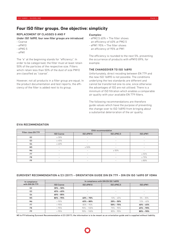## **Four ISO filter groups. One objective: simplicity**

## REPLACEMENT OF CLASSES G AND F

*Under ISO 16890, four new filter groups are introduced:*

- Coarse
- ePM10
- ePM2.5
- ePM1

The "e" at the beginning stands for "efficiency". In order to be categorised, the filter must at least retain 50% of the particles of the respective size. Filters which retain less than 50% of the dust of size PM10 are classified as "coarse".

However, not all products in a filter group are equal. In the product documentation and test reports, the efficiency of the filter is added next to its group.

#### *Examples:*

- ePM2.5 60% = The filter shows an efficiency of 60% at PM2.5
- ePM1 95% = The filter shows an efficiency of 95% at PM1

The efficiency is rounded to the next 5%, preventing the occurrence of products with ePM10 89%, for example.

## THE CHANGEOVER TO ISO 16890

Unfortunately, direct recoding between EN 779 and the new ISO 16890 is not possible. The conditions underlying the two standards are different and cannot be transferred one-to-one, since otherwise the advantages of ISO are not utilised. There is a minimum of ISO filtration which enables a comparable air quality with your available EN 779 filters.

The following recommendations are therefore guide values which have the purpose of preventing the change-over to ISO 16890 from bringing about a substantial deterioration of the air quality.

| Filter class EN 779 | <b>EVIA recommendation</b> |                          |                          |                          |  |
|---------------------|----------------------------|--------------------------|--------------------------|--------------------------|--|
|                     | <b>ISO Coarse</b>          | ISO ePM10                | ISO ePM2,5               | ISO ePM1                 |  |
| G <sub>2</sub>      | $\geq 30\%$                | $\sim$                   | -                        | $\overline{\phantom{a}}$ |  |
| G <sub>3</sub>      | $\geq 45\%$                | $\overline{\phantom{0}}$ | $\overline{\phantom{a}}$ | $\qquad \qquad$          |  |
| G4                  | $> 60\%$                   | $\overline{\phantom{a}}$ | -                        | $\overline{\phantom{a}}$ |  |
| M <sub>5</sub>      | $\overline{\phantom{a}}$   | $\geq 50\%$              | $\overline{\phantom{0}}$ | $\overline{\phantom{a}}$ |  |
| M6                  | -                          | -                        | $\geq 50\%$              |                          |  |
| F7                  | $\overline{\phantom{0}}$   | $\overline{\phantom{0}}$ | $\overline{\phantom{0}}$ | $\geq 50\%$              |  |
| F <sub>8</sub>      | $\overline{\phantom{a}}$   | $\overline{\phantom{a}}$ | $\hspace{0.05cm}$        | $\geq 70\%$              |  |
| F <sub>9</sub>      | -                          | $\overline{\phantom{0}}$ | -                        | $\geq 80\%$              |  |

## EVIA RECOMMENDATION

## EUROVENT RECOMMENDATION 4/23 (2017) – ORIENTATION GUIDE DIN EN 779 – DIN EN ISO 16890 OF VDMA

| In compliance<br>with DIN EN 779 | In compliance with DIN EN ISO 16890 |                          |                          |                   |  |
|----------------------------------|-------------------------------------|--------------------------|--------------------------|-------------------|--|
|                                  | <b>ISO Coarse</b>                   | ISO ePM10                | ISO ePM2.5               | ISO ePM1          |  |
| G <sub>2</sub>                   | $30\% - 50\%$                       | $\overline{\phantom{a}}$ | -                        | -                 |  |
| G3                               | $45\% - 65\%$                       | $\overline{\phantom{a}}$ | -                        | $\hspace{0.05cm}$ |  |
| G4                               | $60\% - 85\%$                       | $\sim$                   | $\overline{\phantom{a}}$ |                   |  |
| M <sub>5</sub>                   | $80\% - 95\%$                       | $40\% - 70\%$            | $10\% - 45\%$            | $5\% - 35\%$      |  |
| M6                               | >90%                                | $45\% - 80\%$            | $20\% - 50\%$            | $10\% - 40\%$     |  |
| F7                               | >95%                                | $80\% - 90\%$            | $50\% - 75\%$            | $40\% - 65\%$     |  |
| F <sub>8</sub>                   | >95%                                | $90\% - 100\%$           | $75\% - 95\%$            | $65\% - 90\%$     |  |
| F9                               | >95%                                | $90\% - 100\%$           | $85\% - 95\%$            | $80\% - 90\%$     |  |

M5 to F9 following Eurovent Recommendation 4/23 (2017); the information is to be meant as an orientation guide and is supplied without liability.